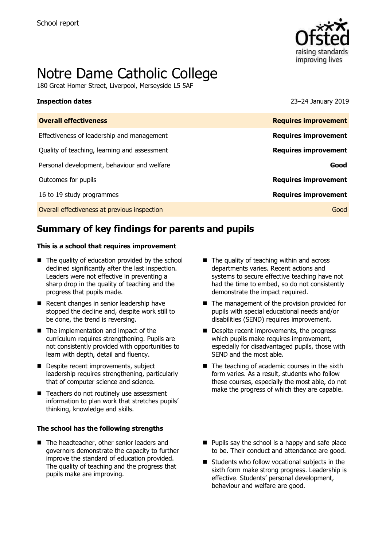

# Notre Dame Catholic College

180 Great Homer Street, Liverpool, Merseyside L5 5AF

**Inspection dates** 23–24 January 2019

| <b>Overall effectiveness</b>                 | <b>Requires improvement</b> |
|----------------------------------------------|-----------------------------|
| Effectiveness of leadership and management   | <b>Requires improvement</b> |
| Quality of teaching, learning and assessment | <b>Requires improvement</b> |
| Personal development, behaviour and welfare  | Good                        |
| Outcomes for pupils                          | <b>Requires improvement</b> |
| 16 to 19 study programmes                    | <b>Requires improvement</b> |
| Overall effectiveness at previous inspection | Good                        |
|                                              |                             |

# **Summary of key findings for parents and pupils**

### **This is a school that requires improvement**

- $\blacksquare$  The quality of education provided by the school declined significantly after the last inspection. Leaders were not effective in preventing a sharp drop in the quality of teaching and the progress that pupils made.
- Recent changes in senior leadership have stopped the decline and, despite work still to be done, the trend is reversing.
- The implementation and impact of the curriculum requires strengthening. Pupils are not consistently provided with opportunities to learn with depth, detail and fluency.
- Despite recent improvements, subject leadership requires strengthening, particularly that of computer science and science.
- Teachers do not routinely use assessment information to plan work that stretches pupils' thinking, knowledge and skills.

### **The school has the following strengths**

■ The headteacher, other senior leaders and governors demonstrate the capacity to further improve the standard of education provided. The quality of teaching and the progress that pupils make are improving.

- The quality of teaching within and across departments varies. Recent actions and systems to secure effective teaching have not had the time to embed, so do not consistently demonstrate the impact required.
- The management of the provision provided for pupils with special educational needs and/or disabilities (SEND) requires improvement.
- Despite recent improvements, the progress which pupils make requires improvement, especially for disadvantaged pupils, those with SEND and the most able.
- $\blacksquare$  The teaching of academic courses in the sixth form varies. As a result, students who follow these courses, especially the most able, do not make the progress of which they are capable.
- $\blacksquare$  Pupils say the school is a happy and safe place to be. Their conduct and attendance are good.
- Students who follow vocational subjects in the sixth form make strong progress. Leadership is effective. Students' personal development, behaviour and welfare are good.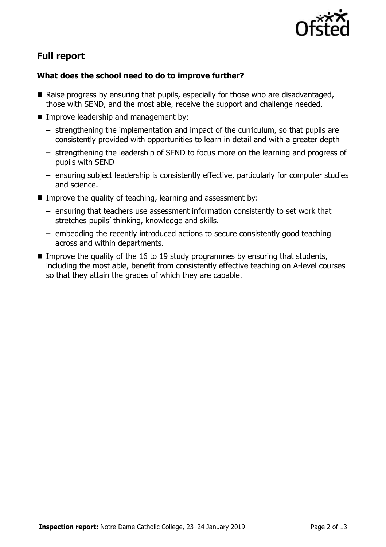

# **Full report**

### **What does the school need to do to improve further?**

- Raise progress by ensuring that pupils, especially for those who are disadvantaged, those with SEND, and the most able, receive the support and challenge needed.
- **Improve leadership and management by:** 
	- strengthening the implementation and impact of the curriculum, so that pupils are consistently provided with opportunities to learn in detail and with a greater depth
	- strengthening the leadership of SEND to focus more on the learning and progress of pupils with SEND
	- ensuring subject leadership is consistently effective, particularly for computer studies and science.
- Improve the quality of teaching, learning and assessment by:
	- ensuring that teachers use assessment information consistently to set work that stretches pupils' thinking, knowledge and skills.
	- embedding the recently introduced actions to secure consistently good teaching across and within departments.
- Improve the quality of the 16 to 19 study programmes by ensuring that students, including the most able, benefit from consistently effective teaching on A-level courses so that they attain the grades of which they are capable.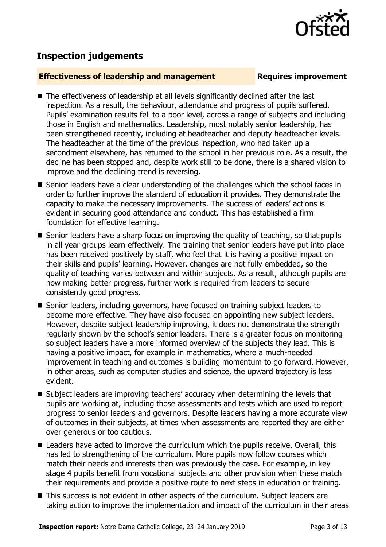

## **Inspection judgements**

### **Effectiveness of leadership and management Requires improvement**

- The effectiveness of leadership at all levels significantly declined after the last inspection. As a result, the behaviour, attendance and progress of pupils suffered. Pupils' examination results fell to a poor level, across a range of subjects and including those in English and mathematics. Leadership, most notably senior leadership, has been strengthened recently, including at headteacher and deputy headteacher levels. The headteacher at the time of the previous inspection, who had taken up a secondment elsewhere, has returned to the school in her previous role. As a result, the decline has been stopped and, despite work still to be done, there is a shared vision to improve and the declining trend is reversing.
- Senior leaders have a clear understanding of the challenges which the school faces in order to further improve the standard of education it provides. They demonstrate the capacity to make the necessary improvements. The success of leaders' actions is evident in securing good attendance and conduct. This has established a firm foundation for effective learning.
- Senior leaders have a sharp focus on improving the quality of teaching, so that pupils in all year groups learn effectively. The training that senior leaders have put into place has been received positively by staff, who feel that it is having a positive impact on their skills and pupils' learning. However, changes are not fully embedded, so the quality of teaching varies between and within subjects. As a result, although pupils are now making better progress, further work is required from leaders to secure consistently good progress.
- Senior leaders, including governors, have focused on training subject leaders to become more effective. They have also focused on appointing new subject leaders. However, despite subject leadership improving, it does not demonstrate the strength regularly shown by the school's senior leaders. There is a greater focus on monitoring so subject leaders have a more informed overview of the subjects they lead. This is having a positive impact, for example in mathematics, where a much-needed improvement in teaching and outcomes is building momentum to go forward. However, in other areas, such as computer studies and science, the upward trajectory is less evident.
- Subject leaders are improving teachers' accuracy when determining the levels that pupils are working at, including those assessments and tests which are used to report progress to senior leaders and governors. Despite leaders having a more accurate view of outcomes in their subjects, at times when assessments are reported they are either over generous or too cautious.
- Leaders have acted to improve the curriculum which the pupils receive. Overall, this has led to strengthening of the curriculum. More pupils now follow courses which match their needs and interests than was previously the case. For example, in key stage 4 pupils benefit from vocational subjects and other provision when these match their requirements and provide a positive route to next steps in education or training.
- This success is not evident in other aspects of the curriculum. Subject leaders are taking action to improve the implementation and impact of the curriculum in their areas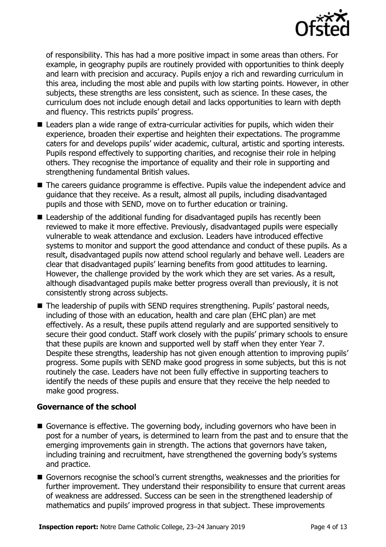

of responsibility. This has had a more positive impact in some areas than others. For example, in geography pupils are routinely provided with opportunities to think deeply and learn with precision and accuracy. Pupils enjoy a rich and rewarding curriculum in this area, including the most able and pupils with low starting points. However, in other subjects, these strengths are less consistent, such as science. In these cases, the curriculum does not include enough detail and lacks opportunities to learn with depth and fluency. This restricts pupils' progress.

- Leaders plan a wide range of extra-curricular activities for pupils, which widen their experience, broaden their expertise and heighten their expectations. The programme caters for and develops pupils' wider academic, cultural, artistic and sporting interests. Pupils respond effectively to supporting charities, and recognise their role in helping others. They recognise the importance of equality and their role in supporting and strengthening fundamental British values.
- The careers guidance programme is effective. Pupils value the independent advice and guidance that they receive. As a result, almost all pupils, including disadvantaged pupils and those with SEND, move on to further education or training.
- Leadership of the additional funding for disadvantaged pupils has recently been reviewed to make it more effective. Previously, disadvantaged pupils were especially vulnerable to weak attendance and exclusion. Leaders have introduced effective systems to monitor and support the good attendance and conduct of these pupils. As a result, disadvantaged pupils now attend school regularly and behave well. Leaders are clear that disadvantaged pupils' learning benefits from good attitudes to learning. However, the challenge provided by the work which they are set varies. As a result, although disadvantaged pupils make better progress overall than previously, it is not consistently strong across subjects.
- The leadership of pupils with SEND requires strengthening. Pupils' pastoral needs, including of those with an education, health and care plan (EHC plan) are met effectively. As a result, these pupils attend regularly and are supported sensitively to secure their good conduct. Staff work closely with the pupils' primary schools to ensure that these pupils are known and supported well by staff when they enter Year 7. Despite these strengths, leadership has not given enough attention to improving pupils' progress. Some pupils with SEND make good progress in some subjects, but this is not routinely the case. Leaders have not been fully effective in supporting teachers to identify the needs of these pupils and ensure that they receive the help needed to make good progress.

### **Governance of the school**

- Governance is effective. The governing body, including governors who have been in post for a number of years, is determined to learn from the past and to ensure that the emerging improvements gain in strength. The actions that governors have taken, including training and recruitment, have strengthened the governing body's systems and practice.
- Governors recognise the school's current strengths, weaknesses and the priorities for further improvement. They understand their responsibility to ensure that current areas of weakness are addressed. Success can be seen in the strengthened leadership of mathematics and pupils' improved progress in that subject. These improvements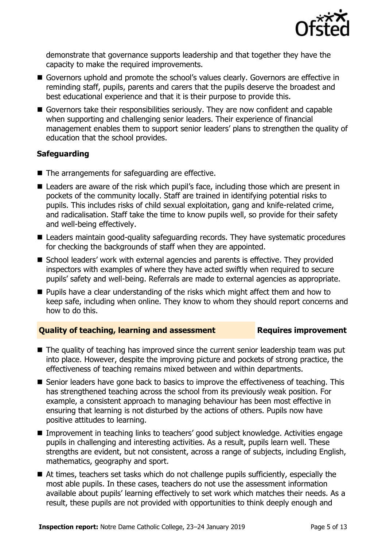

demonstrate that governance supports leadership and that together they have the capacity to make the required improvements.

- Governors uphold and promote the school's values clearly. Governors are effective in reminding staff, pupils, parents and carers that the pupils deserve the broadest and best educational experience and that it is their purpose to provide this.
- Governors take their responsibilities seriously. They are now confident and capable when supporting and challenging senior leaders. Their experience of financial management enables them to support senior leaders' plans to strengthen the quality of education that the school provides.

### **Safeguarding**

- The arrangements for safeguarding are effective.
- Leaders are aware of the risk which pupil's face, including those which are present in pockets of the community locally. Staff are trained in identifying potential risks to pupils. This includes risks of child sexual exploitation, gang and knife-related crime, and radicalisation. Staff take the time to know pupils well, so provide for their safety and well-being effectively.
- Leaders maintain good-quality safeguarding records. They have systematic procedures for checking the backgrounds of staff when they are appointed.
- School leaders' work with external agencies and parents is effective. They provided inspectors with examples of where they have acted swiftly when required to secure pupils' safety and well-being. Referrals are made to external agencies as appropriate.
- **Pupils have a clear understanding of the risks which might affect them and how to** keep safe, including when online. They know to whom they should report concerns and how to do this.

### **Quality of teaching, learning and assessment Requires improvement**

- The quality of teaching has improved since the current senior leadership team was put into place. However, despite the improving picture and pockets of strong practice, the effectiveness of teaching remains mixed between and within departments.
- Senior leaders have gone back to basics to improve the effectiveness of teaching. This has strengthened teaching across the school from its previously weak position. For example, a consistent approach to managing behaviour has been most effective in ensuring that learning is not disturbed by the actions of others. Pupils now have positive attitudes to learning.
- Improvement in teaching links to teachers' good subject knowledge. Activities engage pupils in challenging and interesting activities. As a result, pupils learn well. These strengths are evident, but not consistent, across a range of subjects, including English, mathematics, geography and sport.
- At times, teachers set tasks which do not challenge pupils sufficiently, especially the most able pupils. In these cases, teachers do not use the assessment information available about pupils' learning effectively to set work which matches their needs. As a result, these pupils are not provided with opportunities to think deeply enough and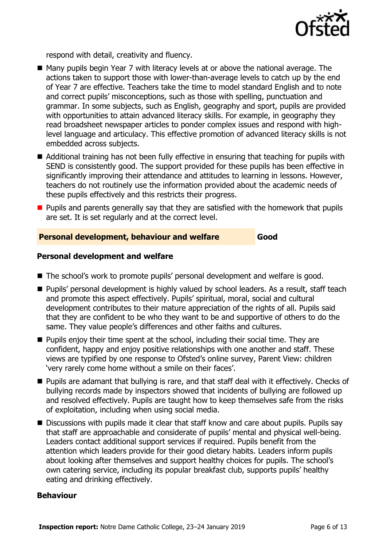

respond with detail, creativity and fluency.

- Many pupils begin Year 7 with literacy levels at or above the national average. The actions taken to support those with lower-than-average levels to catch up by the end of Year 7 are effective. Teachers take the time to model standard English and to note and correct pupils' misconceptions, such as those with spelling, punctuation and grammar. In some subjects, such as English, geography and sport, pupils are provided with opportunities to attain advanced literacy skills. For example, in geography they read broadsheet newspaper articles to ponder complex issues and respond with highlevel language and articulacy. This effective promotion of advanced literacy skills is not embedded across subjects.
- Additional training has not been fully effective in ensuring that teaching for pupils with SEND is consistently good. The support provided for these pupils has been effective in significantly improving their attendance and attitudes to learning in lessons. However, teachers do not routinely use the information provided about the academic needs of these pupils effectively and this restricts their progress.
- $\blacksquare$  Pupils and parents generally say that they are satisfied with the homework that pupils are set. It is set regularly and at the correct level.

### **Personal development, behaviour and welfare Good**

### **Personal development and welfare**

- The school's work to promote pupils' personal development and welfare is good.
- **Pupils' personal development is highly valued by school leaders. As a result, staff teach** and promote this aspect effectively. Pupils' spiritual, moral, social and cultural development contributes to their mature appreciation of the rights of all. Pupils said that they are confident to be who they want to be and supportive of others to do the same. They value people's differences and other faiths and cultures.
- **Pupils enjoy their time spent at the school, including their social time. They are** confident, happy and enjoy positive relationships with one another and staff. These views are typified by one response to Ofsted's online survey, Parent View: children 'very rarely come home without a smile on their faces'.
- **Pupils are adamant that bullying is rare, and that staff deal with it effectively. Checks of** bullying records made by inspectors showed that incidents of bullying are followed up and resolved effectively. Pupils are taught how to keep themselves safe from the risks of exploitation, including when using social media.
- Discussions with pupils made it clear that staff know and care about pupils. Pupils say that staff are approachable and considerate of pupils' mental and physical well-being. Leaders contact additional support services if required. Pupils benefit from the attention which leaders provide for their good dietary habits. Leaders inform pupils about looking after themselves and support healthy choices for pupils. The school's own catering service, including its popular breakfast club, supports pupils' healthy eating and drinking effectively.

### **Behaviour**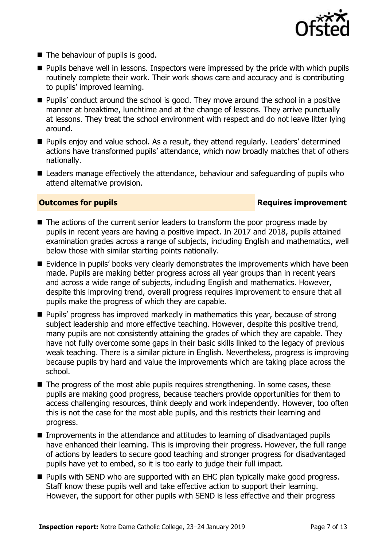

- The behaviour of pupils is good.
- **Pupils behave well in lessons. Inspectors were impressed by the pride with which pupils** routinely complete their work. Their work shows care and accuracy and is contributing to pupils' improved learning.
- Pupils' conduct around the school is good. They move around the school in a positive manner at breaktime, lunchtime and at the change of lessons. They arrive punctually at lessons. They treat the school environment with respect and do not leave litter lying around.
- **Pupils enjoy and value school. As a result, they attend regularly. Leaders' determined** actions have transformed pupils' attendance, which now broadly matches that of others nationally.
- Leaders manage effectively the attendance, behaviour and safeguarding of pupils who attend alternative provision.

### **Outcomes for pupils Requires improvement**

- The actions of the current senior leaders to transform the poor progress made by pupils in recent years are having a positive impact. In 2017 and 2018, pupils attained examination grades across a range of subjects, including English and mathematics, well below those with similar starting points nationally.
- $\blacksquare$  Evidence in pupils' books very clearly demonstrates the improvements which have been made. Pupils are making better progress across all year groups than in recent years and across a wide range of subjects, including English and mathematics. However, despite this improving trend, overall progress requires improvement to ensure that all pupils make the progress of which they are capable.
- Pupils' progress has improved markedly in mathematics this year, because of strong subject leadership and more effective teaching. However, despite this positive trend, many pupils are not consistently attaining the grades of which they are capable. They have not fully overcome some gaps in their basic skills linked to the legacy of previous weak teaching. There is a similar picture in English. Nevertheless, progress is improving because pupils try hard and value the improvements which are taking place across the school.
- $\blacksquare$  The progress of the most able pupils requires strengthening. In some cases, these pupils are making good progress, because teachers provide opportunities for them to access challenging resources, think deeply and work independently. However, too often this is not the case for the most able pupils, and this restricts their learning and progress.
- Improvements in the attendance and attitudes to learning of disadvantaged pupils have enhanced their learning. This is improving their progress. However, the full range of actions by leaders to secure good teaching and stronger progress for disadvantaged pupils have yet to embed, so it is too early to judge their full impact.
- **Pupils with SEND who are supported with an EHC plan typically make good progress.** Staff know these pupils well and take effective action to support their learning. However, the support for other pupils with SEND is less effective and their progress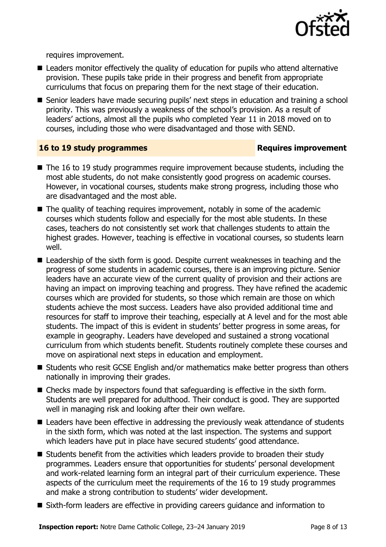

requires improvement.

- Leaders monitor effectively the quality of education for pupils who attend alternative provision. These pupils take pride in their progress and benefit from appropriate curriculums that focus on preparing them for the next stage of their education.
- Senior leaders have made securing pupils' next steps in education and training a school priority. This was previously a weakness of the school's provision. As a result of leaders' actions, almost all the pupils who completed Year 11 in 2018 moved on to courses, including those who were disadvantaged and those with SEND.

### **16 to 19 study programmes Requires improvement**

- The 16 to 19 study programmes require improvement because students, including the most able students, do not make consistently good progress on academic courses. However, in vocational courses, students make strong progress, including those who are disadvantaged and the most able.
- The quality of teaching requires improvement, notably in some of the academic courses which students follow and especially for the most able students. In these cases, teachers do not consistently set work that challenges students to attain the highest grades. However, teaching is effective in vocational courses, so students learn well.
- Leadership of the sixth form is good. Despite current weaknesses in teaching and the progress of some students in academic courses, there is an improving picture. Senior leaders have an accurate view of the current quality of provision and their actions are having an impact on improving teaching and progress. They have refined the academic courses which are provided for students, so those which remain are those on which students achieve the most success. Leaders have also provided additional time and resources for staff to improve their teaching, especially at A level and for the most able students. The impact of this is evident in students' better progress in some areas, for example in geography. Leaders have developed and sustained a strong vocational curriculum from which students benefit. Students routinely complete these courses and move on aspirational next steps in education and employment.
- Students who resit GCSE English and/or mathematics make better progress than others nationally in improving their grades.
- Checks made by inspectors found that safeguarding is effective in the sixth form. Students are well prepared for adulthood. Their conduct is good. They are supported well in managing risk and looking after their own welfare.
- Leaders have been effective in addressing the previously weak attendance of students in the sixth form, which was noted at the last inspection. The systems and support which leaders have put in place have secured students' good attendance.
- Students benefit from the activities which leaders provide to broaden their study programmes. Leaders ensure that opportunities for students' personal development and work-related learning form an integral part of their curriculum experience. These aspects of the curriculum meet the requirements of the 16 to 19 study programmes and make a strong contribution to students' wider development.
- Sixth-form leaders are effective in providing careers guidance and information to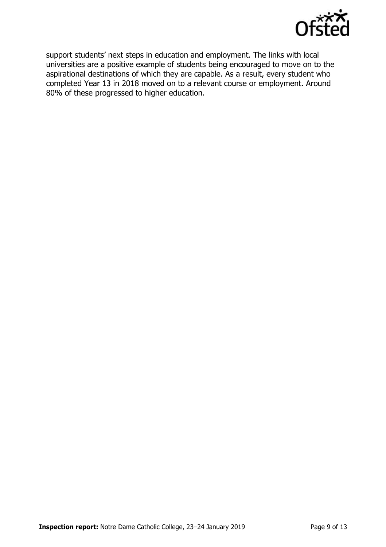

support students' next steps in education and employment. The links with local universities are a positive example of students being encouraged to move on to the aspirational destinations of which they are capable. As a result, every student who completed Year 13 in 2018 moved on to a relevant course or employment. Around 80% of these progressed to higher education.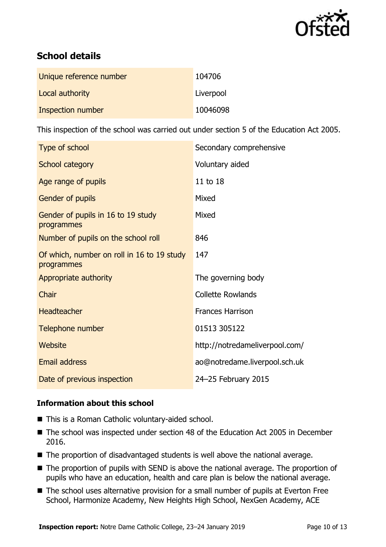

# **School details**

| Unique reference number | 104706    |
|-------------------------|-----------|
| Local authority         | Liverpool |
| Inspection number       | 10046098  |

This inspection of the school was carried out under section 5 of the Education Act 2005.

| Type of school                                           | Secondary comprehensive        |
|----------------------------------------------------------|--------------------------------|
| School category                                          | Voluntary aided                |
| Age range of pupils                                      | 11 to 18                       |
| Gender of pupils                                         | Mixed                          |
| Gender of pupils in 16 to 19 study<br>programmes         | Mixed                          |
| Number of pupils on the school roll                      | 846                            |
| Of which, number on roll in 16 to 19 study<br>programmes | 147                            |
| Appropriate authority                                    | The governing body             |
| Chair                                                    | <b>Collette Rowlands</b>       |
| <b>Headteacher</b>                                       | <b>Frances Harrison</b>        |
| Telephone number                                         | 01513 305122                   |
| <b>Website</b>                                           | http://notredameliverpool.com/ |
| Email address                                            | ao@notredame.liverpool.sch.uk  |
| Date of previous inspection                              | 24-25 February 2015            |

### **Information about this school**

- This is a Roman Catholic voluntary-aided school.
- The school was inspected under section 48 of the Education Act 2005 in December 2016.
- The proportion of disadvantaged students is well above the national average.
- The proportion of pupils with SEND is above the national average. The proportion of pupils who have an education, health and care plan is below the national average.
- The school uses alternative provision for a small number of pupils at Everton Free School, Harmonize Academy, New Heights High School, NexGen Academy, ACE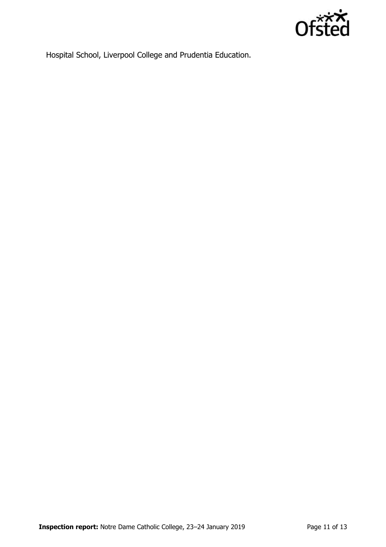

Hospital School, Liverpool College and Prudentia Education.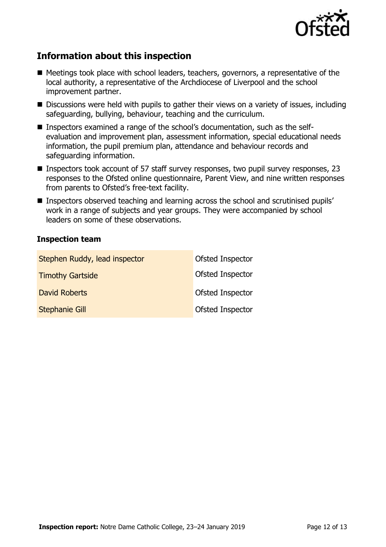

# **Information about this inspection**

- Meetings took place with school leaders, teachers, governors, a representative of the local authority, a representative of the Archdiocese of Liverpool and the school improvement partner.
- Discussions were held with pupils to gather their views on a variety of issues, including safeguarding, bullying, behaviour, teaching and the curriculum.
- Inspectors examined a range of the school's documentation, such as the selfevaluation and improvement plan, assessment information, special educational needs information, the pupil premium plan, attendance and behaviour records and safeguarding information.
- **Inspectors took account of 57 staff survey responses, two pupil survey responses, 23** responses to the Ofsted online questionnaire, Parent View, and nine written responses from parents to Ofsted's free-text facility.
- Inspectors observed teaching and learning across the school and scrutinised pupils' work in a range of subjects and year groups. They were accompanied by school leaders on some of these observations.

### **Inspection team**

| Stephen Ruddy, lead inspector | Ofsted Inspector |
|-------------------------------|------------------|
| <b>Timothy Gartside</b>       | Ofsted Inspector |
| <b>David Roberts</b>          | Ofsted Inspector |
| <b>Stephanie Gill</b>         | Ofsted Inspector |